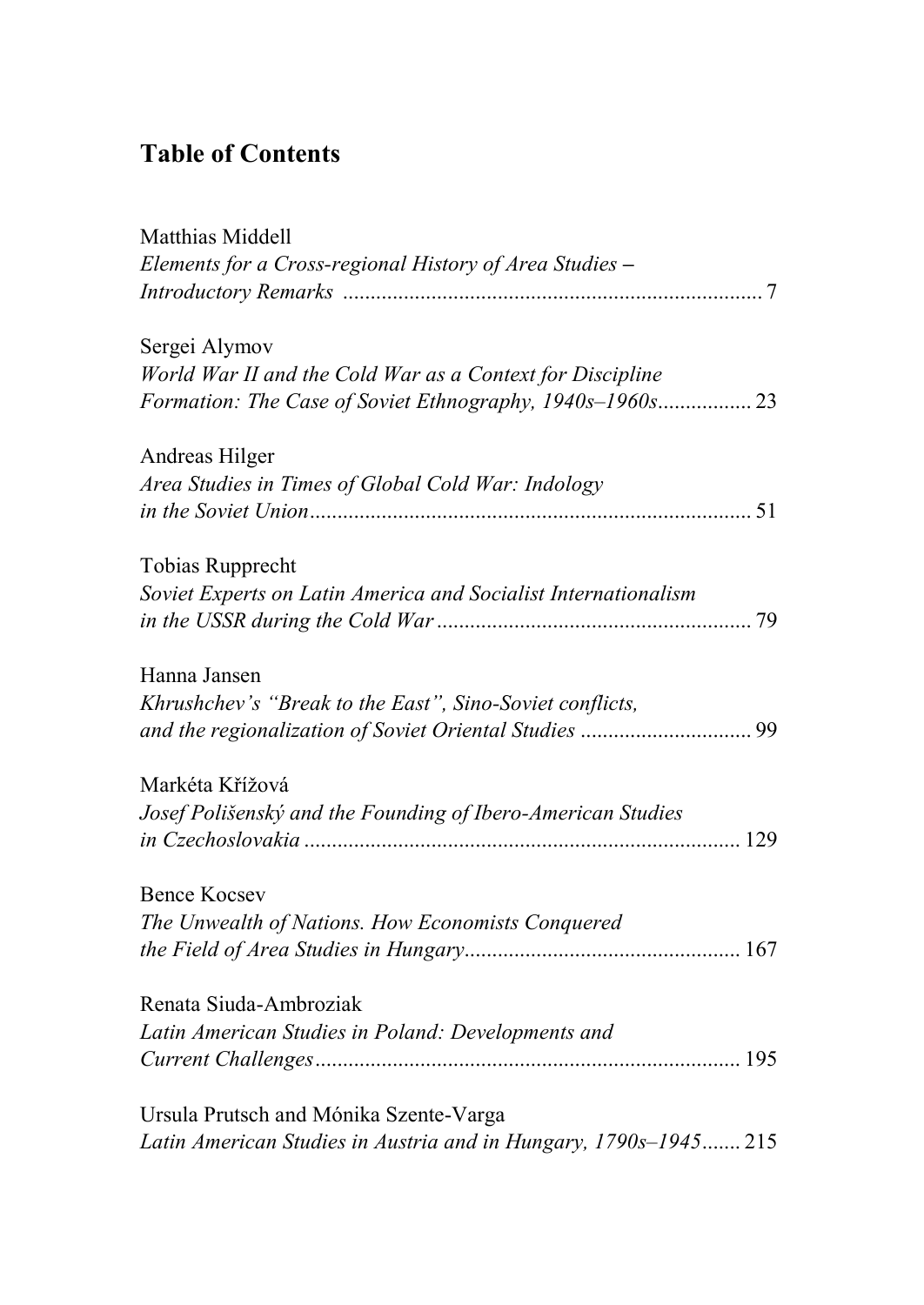## **Table of Contents**

| Matthias Middell                                                 |
|------------------------------------------------------------------|
| Elements for a Cross-regional History of Area Studies -          |
|                                                                  |
| Sergei Alymov                                                    |
| World War II and the Cold War as a Context for Discipline        |
| Formation: The Case of Soviet Ethnography, 1940s-1960s 23        |
| Andreas Hilger                                                   |
| Area Studies in Times of Global Cold War: Indology               |
|                                                                  |
| Tobias Rupprecht                                                 |
| Soviet Experts on Latin America and Socialist Internationalism   |
|                                                                  |
| Hanna Jansen                                                     |
| Khrushchev's "Break to the East", Sino-Soviet conflicts,         |
|                                                                  |
| Markéta Křížová                                                  |
| Josef Polišenský and the Founding of Ibero-American Studies      |
|                                                                  |
| Bence Kocsev                                                     |
| The Unwealth of Nations. How Economists Conquered                |
|                                                                  |
| Renata Siuda-Ambroziak                                           |
| Latin American Studies in Poland: Developments and               |
|                                                                  |
| Ursula Prutsch and Mónika Szente-Varga                           |
| Latin American Studies in Austria and in Hungary, 1790s-1945 215 |